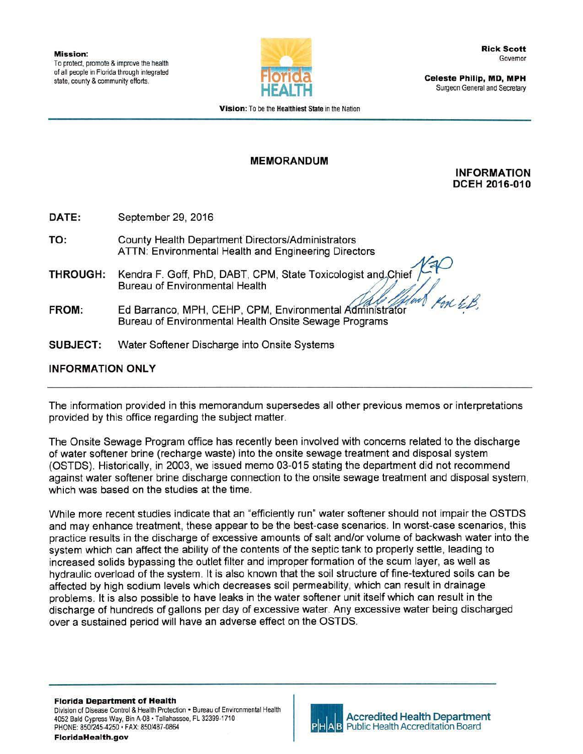

Celeste Philip, MD, **MPH**  Surgeon General and Secretary

Vision: To be the Healthiest State in the Nation

## MEMORANDUM

## INFORMATION DCEH 2016·010

DATE: September 29, 2016

- TO: County Health Department Directors/Administrators ATTN: Environmental Health and Engineering Directors
- THROUGH: Kendra F. Goff, PhD, DABT, CPM, State Toxicologist and Chief (CHO) Kendra F. Goff, PhD, DABT, CPM, State Toxicologist and Sulfer the Bureau of Environmental Health<br>Ed Barranco, MPH, CEHP, CPM, Environmental Administrator
- FROM: Bureau of Environmental Health Onsite Sewage Programs
- SUBJECT: Water Softener Discharge into Onsite Systems

## INFORMATION ONLY

The information provided in this memorandum supersedes all other previous memos or interpretations provided by this office regarding the subject matter.

The Onsite Sewage Program office has recently been involved with concerns related to the discharge of water softener brine (recharge waste) into the onsite sewage treatment and disposal system (OSTOS). Historically, in 2003, we issued memo 03-015 stating the department did not recommend against water softener brine discharge connection to the onsite sewage treatment and disposal system, which was based on the studies at the time.

While more recent studies indicate that an "efficiently run" water softener should not impair the OSTDS and may enhance treatment, these appear to be the best-case scenarios. In worst-case scenarios, this practice results in the discharge of excessive amounts of salt and/or volume of backwash water into the system which can affect the ability of the contents of the septic tank to properly settle, leading to increased solids bypassing the outlet filter and improper formation of the scum layer, as well as hydraulic overload of the system. It is also known that the soil structure of fine-textured soils can be affected by high sodium levels which decreases soil permeability, which can result in drainage problems. It is also possible to have leaks in the water softener unit itself which can result in the discharge of hundreds of gallons per day of excessive water. Any excessive water being discharged over a sustained period will have an adverse effect on the OSTDS.